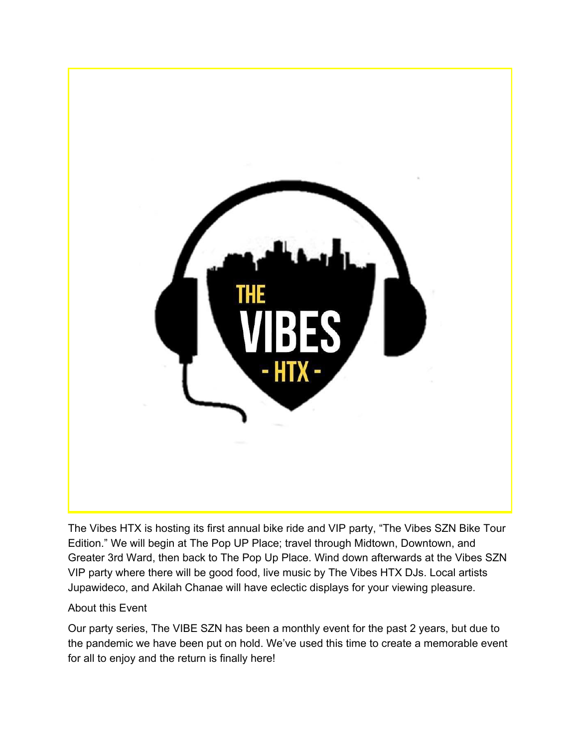

The Vibes HTX is hosting its first annual bike ride and VIP party, "The Vibes SZN Bike Tour Edition." We will begin at The Pop UP Place; travel through Midtown, Downtown, and Greater 3rd Ward, then back to The Pop Up Place. Wind down afterwards at the Vibes SZN VIP party where there will be good food, live music by The Vibes HTX DJs. Local artists Jupawideco, and Akilah Chanae will have eclectic displays for your viewing pleasure.

#### About this Event

Our party series, The VIBE SZN has been a monthly event for the past 2 years, but due to the pandemic we have been put on hold. We've used this time to create a memorable event for all to enjoy and the return is finally here!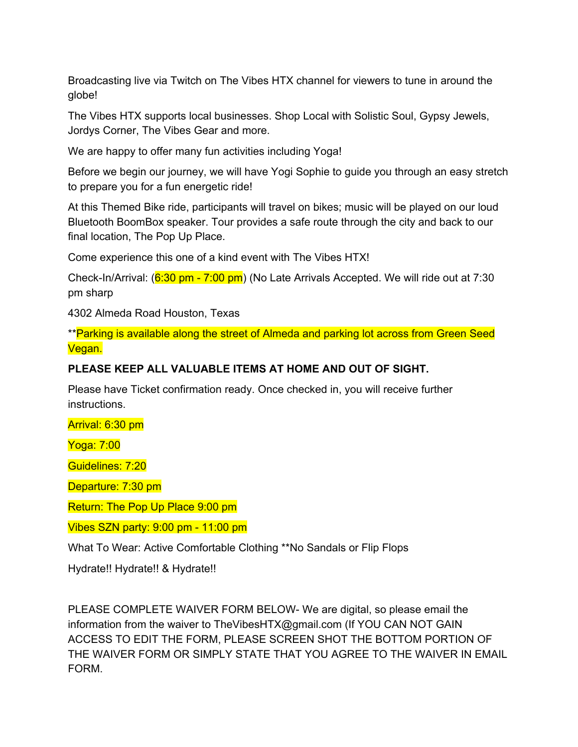Broadcasting live via Twitch on The Vibes HTX channel for viewers to tune in around the globe!

The Vibes HTX supports local businesses. Shop Local with Solistic Soul, Gypsy Jewels, Jordys Corner, The Vibes Gear and more.

We are happy to offer many fun activities including Yoga!

Before we begin our journey, we will have Yogi Sophie to guide you through an easy stretch to prepare you for a fun energetic ride!

At this Themed Bike ride, participants will travel on bikes; music will be played on our loud Bluetooth BoomBox speaker. Tour provides a safe route through the city and back to our final location, The Pop Up Place.

Come experience this one of a kind event with The Vibes HTX!

Check-In/Arrival: (6:30 pm - 7:00 pm) (No Late Arrivals Accepted. We will ride out at 7:30 pm sharp

4302 Almeda Road Houston, Texas

\*\*Parking is available along the street of Almeda and parking lot across from Green Seed Vegan.

# **PLEASE KEEP ALL VALUABLE ITEMS AT HOME AND OUT OF SIGHT.**

Please have Ticket confirmation ready. Once checked in, you will receive further instructions.

Arrival: 6:30 pm

Yoga: 7:00

Guidelines: 7:20

Departure: 7:30 pm

Return: The Pop Up Place 9:00 pm

Vibes SZN party: 9:00 pm - 11:00 pm

What To Wear: Active Comfortable Clothing \*\*No Sandals or Flip Flops

Hydrate!! Hydrate!! & Hydrate!!

PLEASE COMPLETE WAIVER FORM BELOW- We are digital, so please email the information from the waiver to TheVibesHTX@gmail.com (If YOU CAN NOT GAIN ACCESS TO EDIT THE FORM, PLEASE SCREEN SHOT THE BOTTOM PORTION OF THE WAIVER FORM OR SIMPLY STATE THAT YOU AGREE TO THE WAIVER IN EMAIL FORM.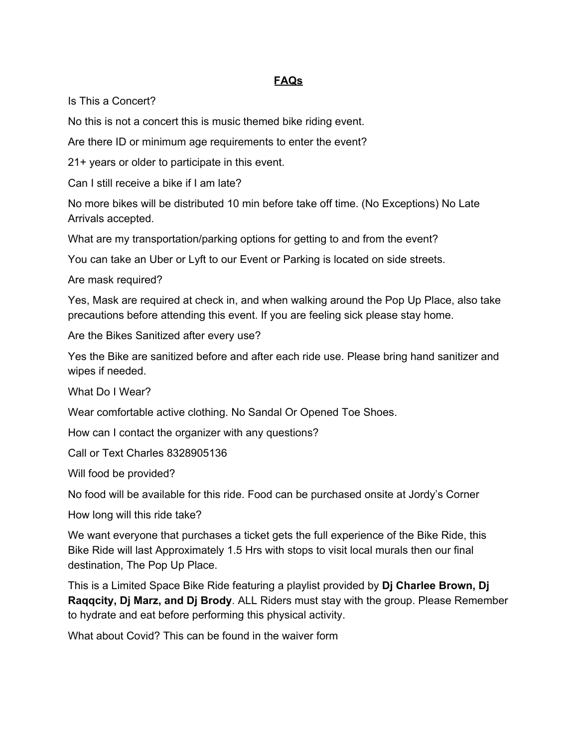## **FAQs**

Is This a Concert?

No this is not a concert this is music themed bike riding event.

Are there ID or minimum age requirements to enter the event?

21+ years or older to participate in this event.

Can I still receive a bike if I am late?

No more bikes will be distributed 10 min before take off time. (No Exceptions) No Late Arrivals accepted.

What are my transportation/parking options for getting to and from the event?

You can take an Uber or Lyft to our Event or Parking is located on side streets.

Are mask required?

Yes, Mask are required at check in, and when walking around the Pop Up Place, also take precautions before attending this event. If you are feeling sick please stay home.

Are the Bikes Sanitized after every use?

Yes the Bike are sanitized before and after each ride use. Please bring hand sanitizer and wipes if needed.

What Do I Wear?

Wear comfortable active clothing. No Sandal Or Opened Toe Shoes.

How can I contact the organizer with any questions?

Call or Text Charles 8328905136

Will food be provided?

No food will be available for this ride. Food can be purchased onsite at Jordy's Corner

How long will this ride take?

We want everyone that purchases a ticket gets the full experience of the Bike Ride, this Bike Ride will last Approximately 1.5 Hrs with stops to visit local murals then our final destination, The Pop Up Place.

This is a Limited Space Bike Ride featuring a playlist provided by **Dj Charlee Brown, Dj Raqqcity, Dj Marz, and Dj Brody**. ALL Riders must stay with the group. Please Remember to hydrate and eat before performing this physical activity.

What about Covid? This can be found in the waiver form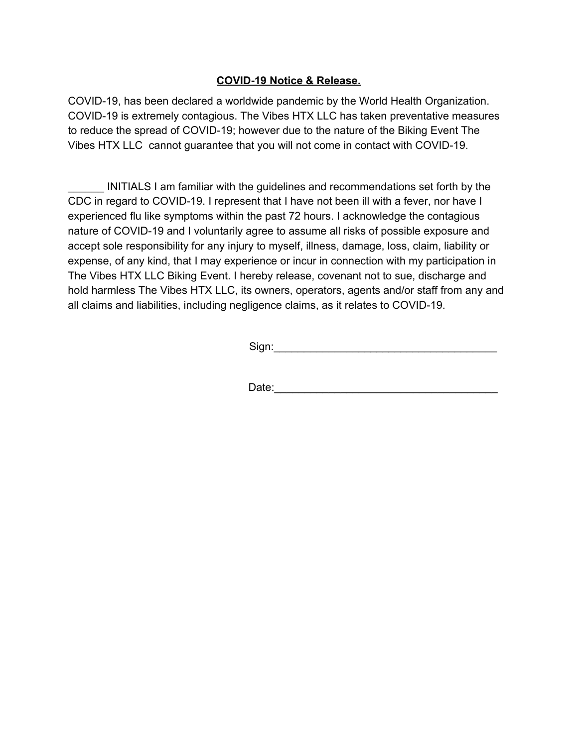### **COVID-19 Notice & Release.**

COVID-19, has been declared a worldwide pandemic by the World Health Organization. COVID-19 is extremely contagious. The Vibes HTX LLC has taken preventative measures to reduce the spread of COVID-19; however due to the nature of the Biking Event The Vibes HTX LLC cannot guarantee that you will not come in contact with COVID-19.

INITIALS I am familiar with the guidelines and recommendations set forth by the CDC in regard to COVID-19. I represent that I have not been ill with a fever, nor have I experienced flu like symptoms within the past 72 hours. I acknowledge the contagious nature of COVID-19 and I voluntarily agree to assume all risks of possible exposure and accept sole responsibility for any injury to myself, illness, damage, loss, claim, liability or expense, of any kind, that I may experience or incur in connection with my participation in The Vibes HTX LLC Biking Event. I hereby release, covenant not to sue, discharge and hold harmless The Vibes HTX LLC, its owners, operators, agents and/or staff from any and all claims and liabilities, including negligence claims, as it relates to COVID-19.

 $Sign:$ 

Date: